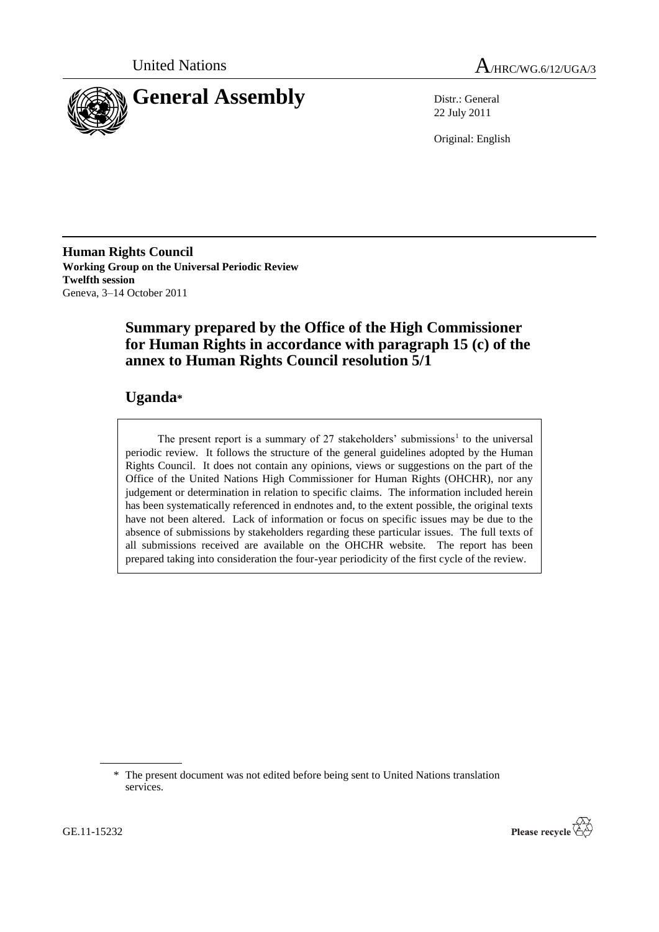



22 July 2011

Original: English

**Human Rights Council Working Group on the Universal Periodic Review Twelfth session** Geneva, 3–14 October 2011

# **Summary prepared by the Office of the High Commissioner for Human Rights in accordance with paragraph 15 (c) of the annex to Human Rights Council resolution 5/1**

# **Uganda\***

The present report is a summary of  $27$  stakeholders' submissions<sup>1</sup> to the universal periodic review. It follows the structure of the general guidelines adopted by the Human Rights Council. It does not contain any opinions, views or suggestions on the part of the Office of the United Nations High Commissioner for Human Rights (OHCHR), nor any judgement or determination in relation to specific claims. The information included herein has been systematically referenced in endnotes and, to the extent possible, the original texts have not been altered. Lack of information or focus on specific issues may be due to the absence of submissions by stakeholders regarding these particular issues. The full texts of all submissions received are available on the OHCHR website. The report has been prepared taking into consideration the four-year periodicity of the first cycle of the review.



<sup>\*</sup> The present document was not edited before being sent to United Nations translation services.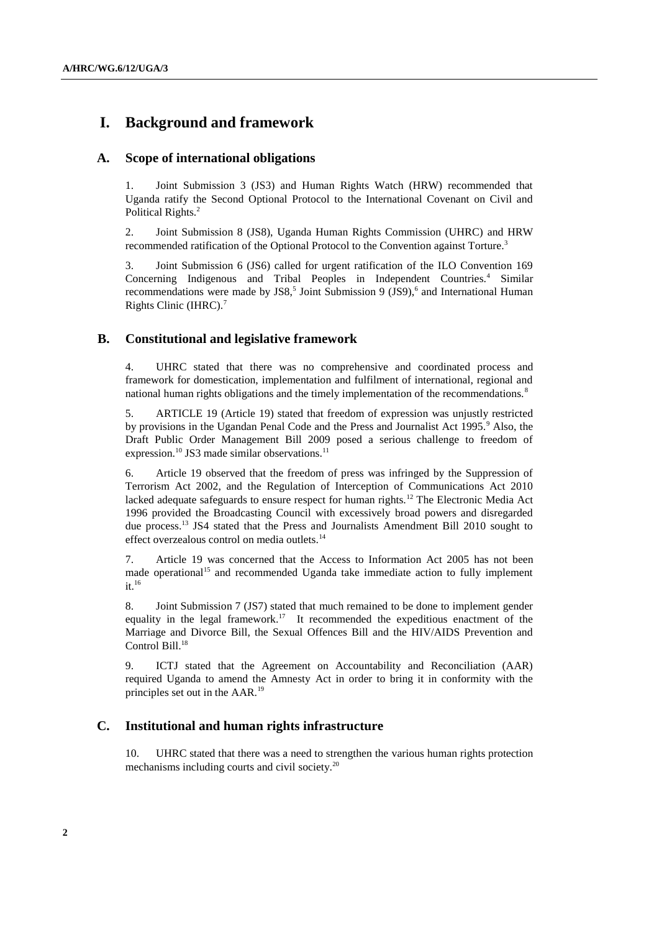# **I. Background and framework**

## **A. Scope of international obligations**

1. Joint Submission 3 (JS3) and Human Rights Watch (HRW) recommended that Uganda ratify the Second Optional Protocol to the International Covenant on Civil and Political Rights.<sup>2</sup>

2. Joint Submission 8 (JS8), Uganda Human Rights Commission (UHRC) and HRW recommended ratification of the Optional Protocol to the Convention against Torture.<sup>3</sup>

3. Joint Submission 6 (JS6) called for urgent ratification of the ILO Convention 169 Concerning Indigenous and Tribal Peoples in Independent Countries.<sup>4</sup> Similar recommendations were made by  $JSS$ , Joint Submission 9 (JS9), and International Human Rights Clinic (IHRC).<sup>7</sup>

## **B. Constitutional and legislative framework**

4. UHRC stated that there was no comprehensive and coordinated process and framework for domestication, implementation and fulfilment of international, regional and national human rights obligations and the timely implementation of the recommendations.<sup>8</sup>

5. ARTICLE 19 (Article 19) stated that freedom of expression was unjustly restricted by provisions in the Ugandan Penal Code and the Press and Journalist Act 1995.<sup>9</sup> Also, the Draft Public Order Management Bill 2009 posed a serious challenge to freedom of expression.<sup>10</sup> JS3 made similar observations.<sup>11</sup>

6. Article 19 observed that the freedom of press was infringed by the Suppression of Terrorism Act 2002, and the Regulation of Interception of Communications Act 2010 lacked adequate safeguards to ensure respect for human rights.<sup>12</sup> The Electronic Media Act 1996 provided the Broadcasting Council with excessively broad powers and disregarded due process.<sup>13</sup> JS4 stated that the Press and Journalists Amendment Bill 2010 sought to effect overzealous control on media outlets. $14$ 

7. Article 19 was concerned that the Access to Information Act 2005 has not been made operational<sup>15</sup> and recommended Uganda take immediate action to fully implement  $it.<sup>16</sup>$ 

8. Joint Submission 7 (JS7) stated that much remained to be done to implement gender equality in the legal framework.<sup>17</sup> It recommended the expeditious enactment of the Marriage and Divorce Bill, the Sexual Offences Bill and the HIV/AIDS Prevention and Control Bill.<sup>18</sup>

9. ICTJ stated that the Agreement on Accountability and Reconciliation (AAR) required Uganda to amend the Amnesty Act in order to bring it in conformity with the principles set out in the AAR.<sup>19</sup>

## **C. Institutional and human rights infrastructure**

10. UHRC stated that there was a need to strengthen the various human rights protection mechanisms including courts and civil society.<sup>20</sup>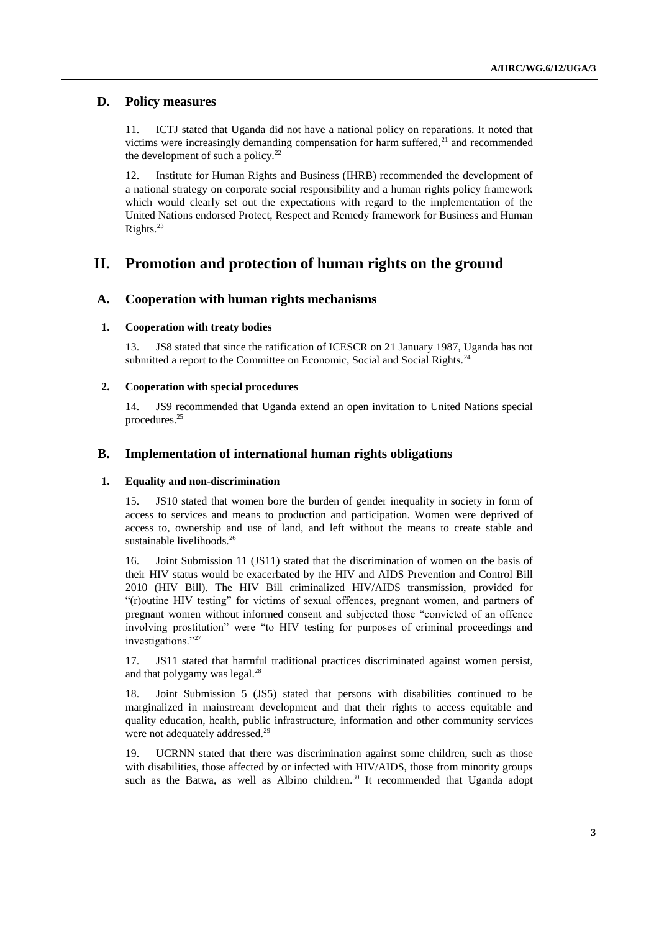## **D. Policy measures**

11. ICTJ stated that Uganda did not have a national policy on reparations. It noted that victims were increasingly demanding compensation for harm suffered, $^{21}$  and recommended the development of such a policy. $^{22}$ 

12. Institute for Human Rights and Business (IHRB) recommended the development of a national strategy on corporate social responsibility and a human rights policy framework which would clearly set out the expectations with regard to the implementation of the United Nations endorsed Protect, Respect and Remedy framework for Business and Human Rights.<sup>23</sup>

# **II. Promotion and protection of human rights on the ground**

## **A. Cooperation with human rights mechanisms**

### **1. Cooperation with treaty bodies**

13. JS8 stated that since the ratification of ICESCR on 21 January 1987, Uganda has not submitted a report to the Committee on Economic, Social and Social Rights.<sup>24</sup>

### **2. Cooperation with special procedures**

14. JS9 recommended that Uganda extend an open invitation to United Nations special procedures.<sup>25</sup>

## **B. Implementation of international human rights obligations**

#### **1. Equality and non-discrimination**

15. JS10 stated that women bore the burden of gender inequality in society in form of access to services and means to production and participation. Women were deprived of access to, ownership and use of land, and left without the means to create stable and sustainable livelihoods.<sup>26</sup>

16. Joint Submission 11 (JS11) stated that the discrimination of women on the basis of their HIV status would be exacerbated by the HIV and AIDS Prevention and Control Bill 2010 (HIV Bill). The HIV Bill criminalized HIV/AIDS transmission, provided for "(r)outine HIV testing" for victims of sexual offences, pregnant women, and partners of pregnant women without informed consent and subjected those "convicted of an offence involving prostitution" were "to HIV testing for purposes of criminal proceedings and investigations."<sup>27</sup>

17. JS11 stated that harmful traditional practices discriminated against women persist, and that polygamy was legal. $^{28}$ 

18. Joint Submission 5 (JS5) stated that persons with disabilities continued to be marginalized in mainstream development and that their rights to access equitable and quality education, health, public infrastructure, information and other community services were not adequately addressed.<sup>29</sup>

19. UCRNN stated that there was discrimination against some children, such as those with disabilities, those affected by or infected with HIV/AIDS, those from minority groups such as the Batwa, as well as Albino children.<sup>30</sup> It recommended that Uganda adopt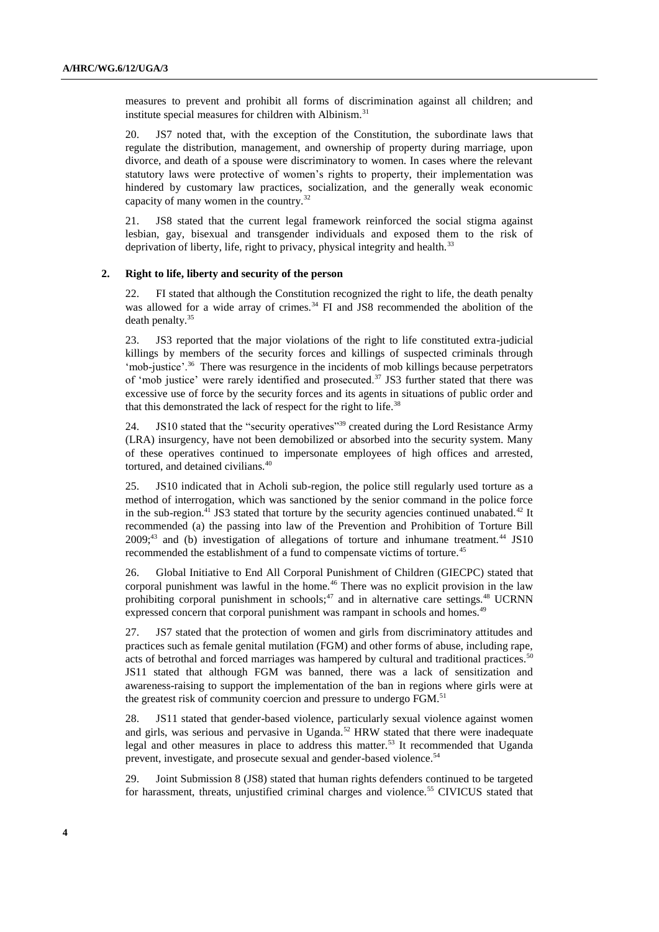measures to prevent and prohibit all forms of discrimination against all children; and institute special measures for children with Albinism.<sup>31</sup>

20. JS7 noted that, with the exception of the Constitution, the subordinate laws that regulate the distribution, management, and ownership of property during marriage, upon divorce, and death of a spouse were discriminatory to women. In cases where the relevant statutory laws were protective of women"s rights to property, their implementation was hindered by customary law practices, socialization, and the generally weak economic capacity of many women in the country.<sup>32</sup>

21. JS8 stated that the current legal framework reinforced the social stigma against lesbian, gay, bisexual and transgender individuals and exposed them to the risk of deprivation of liberty, life, right to privacy, physical integrity and health. $33$ 

### **2. Right to life, liberty and security of the person**

22. FI stated that although the Constitution recognized the right to life, the death penalty was allowed for a wide array of crimes.<sup>34</sup> FI and JS8 recommended the abolition of the death penalty.<sup>35</sup>

23. JS3 reported that the major violations of the right to life constituted extra-judicial killings by members of the security forces and killings of suspected criminals through 'mob-justice'.<sup>36</sup> There was resurgence in the incidents of mob killings because perpetrators of 'mob justice' were rarely identified and prosecuted.<sup>37</sup> JS3 further stated that there was excessive use of force by the security forces and its agents in situations of public order and that this demonstrated the lack of respect for the right to life.<sup>38</sup>

24. JS10 stated that the "security operatives"<sup>39</sup> created during the Lord Resistance Army (LRA) insurgency, have not been demobilized or absorbed into the security system. Many of these operatives continued to impersonate employees of high offices and arrested, tortured, and detained civilians.<sup>40</sup>

25. JS10 indicated that in Acholi sub-region, the police still regularly used torture as a method of interrogation, which was sanctioned by the senior command in the police force in the sub-region.<sup>41</sup> JS3 stated that torture by the security agencies continued unabated.<sup>42</sup> It recommended (a) the passing into law of the Prevention and Prohibition of Torture Bill  $2009;^{43}$  and (b) investigation of allegations of torture and inhumane treatment.<sup>44</sup> JS10 recommended the establishment of a fund to compensate victims of torture.<sup>45</sup>

26. Global Initiative to End All Corporal Punishment of Children (GIECPC) stated that corporal punishment was lawful in the home.<sup>46</sup> There was no explicit provision in the law prohibiting corporal punishment in schools;<sup>47</sup> and in alternative care settings.<sup>48</sup> UCRNN expressed concern that corporal punishment was rampant in schools and homes.<sup>49</sup>

27. JS7 stated that the protection of women and girls from discriminatory attitudes and practices such as female genital mutilation (FGM) and other forms of abuse, including rape, acts of betrothal and forced marriages was hampered by cultural and traditional practices.<sup>50</sup> JS11 stated that although FGM was banned, there was a lack of sensitization and awareness-raising to support the implementation of the ban in regions where girls were at the greatest risk of community coercion and pressure to undergo FGM.<sup>51</sup>

28. JS11 stated that gender-based violence, particularly sexual violence against women and girls, was serious and pervasive in Uganda.<sup>52</sup> HRW stated that there were inadequate legal and other measures in place to address this matter.<sup>53</sup> It recommended that Uganda prevent, investigate, and prosecute sexual and gender-based violence.<sup>54</sup>

29. Joint Submission 8 (JS8) stated that human rights defenders continued to be targeted for harassment, threats, unjustified criminal charges and violence.<sup>55</sup> CIVICUS stated that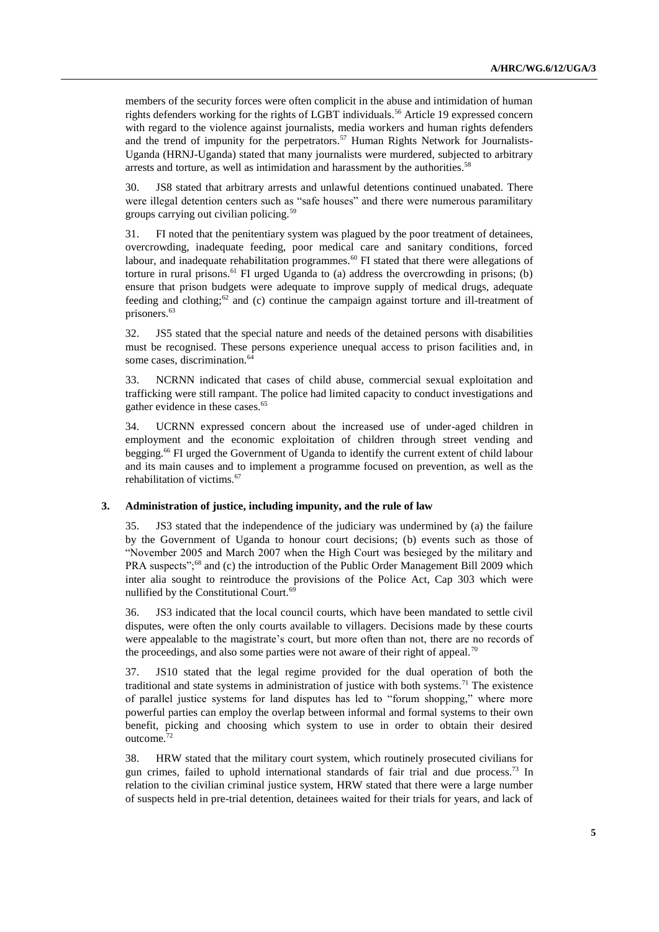members of the security forces were often complicit in the abuse and intimidation of human rights defenders working for the rights of LGBT individuals.<sup>56</sup> Article 19 expressed concern with regard to the violence against journalists, media workers and human rights defenders and the trend of impunity for the perpetrators.<sup>57</sup> Human Rights Network for Journalists-Uganda (HRNJ-Uganda) stated that many journalists were murdered, subjected to arbitrary arrests and torture, as well as intimidation and harassment by the authorities.<sup>58</sup>

30. JS8 stated that arbitrary arrests and unlawful detentions continued unabated. There were illegal detention centers such as "safe houses" and there were numerous paramilitary groups carrying out civilian policing.<sup>59</sup>

31. FI noted that the penitentiary system was plagued by the poor treatment of detainees, overcrowding, inadequate feeding, poor medical care and sanitary conditions, forced labour, and inadequate rehabilitation programmes.<sup>60</sup> FI stated that there were allegations of torture in rural prisons.<sup>61</sup> FI urged Uganda to (a) address the overcrowding in prisons; (b) ensure that prison budgets were adequate to improve supply of medical drugs, adequate feeding and clothing;<sup>62</sup> and (c) continue the campaign against torture and ill-treatment of prisoners.<sup>63</sup>

32. JS5 stated that the special nature and needs of the detained persons with disabilities must be recognised. These persons experience unequal access to prison facilities and, in some cases, discrimination.<sup>64</sup>

33. NCRNN indicated that cases of child abuse, commercial sexual exploitation and trafficking were still rampant. The police had limited capacity to conduct investigations and gather evidence in these cases.<sup>65</sup>

34. UCRNN expressed concern about the increased use of under-aged children in employment and the economic exploitation of children through street vending and begging.<sup>66</sup> FI urged the Government of Uganda to identify the current extent of child labour and its main causes and to implement a programme focused on prevention, as well as the rehabilitation of victims.<sup>67</sup>

### **3. Administration of justice, including impunity, and the rule of law**

35. JS3 stated that the independence of the judiciary was undermined by (a) the failure by the Government of Uganda to honour court decisions; (b) events such as those of "November 2005 and March 2007 when the High Court was besieged by the military and PRA suspects";<sup>68</sup> and (c) the introduction of the Public Order Management Bill 2009 which inter alia sought to reintroduce the provisions of the Police Act, Cap 303 which were nullified by the Constitutional Court. $6<sup>6</sup>$ 

36. JS3 indicated that the local council courts, which have been mandated to settle civil disputes, were often the only courts available to villagers. Decisions made by these courts were appealable to the magistrate"s court, but more often than not, there are no records of the proceedings, and also some parties were not aware of their right of appeal.<sup>70</sup>

37. JS10 stated that the legal regime provided for the dual operation of both the traditional and state systems in administration of justice with both systems.<sup>71</sup> The existence of parallel justice systems for land disputes has led to "forum shopping," where more powerful parties can employ the overlap between informal and formal systems to their own benefit, picking and choosing which system to use in order to obtain their desired outcome.<sup>72</sup>

38. HRW stated that the military court system, which routinely prosecuted civilians for gun crimes, failed to uphold international standards of fair trial and due process.<sup>73</sup> In relation to the civilian criminal justice system, HRW stated that there were a large number of suspects held in pre-trial detention, detainees waited for their trials for years, and lack of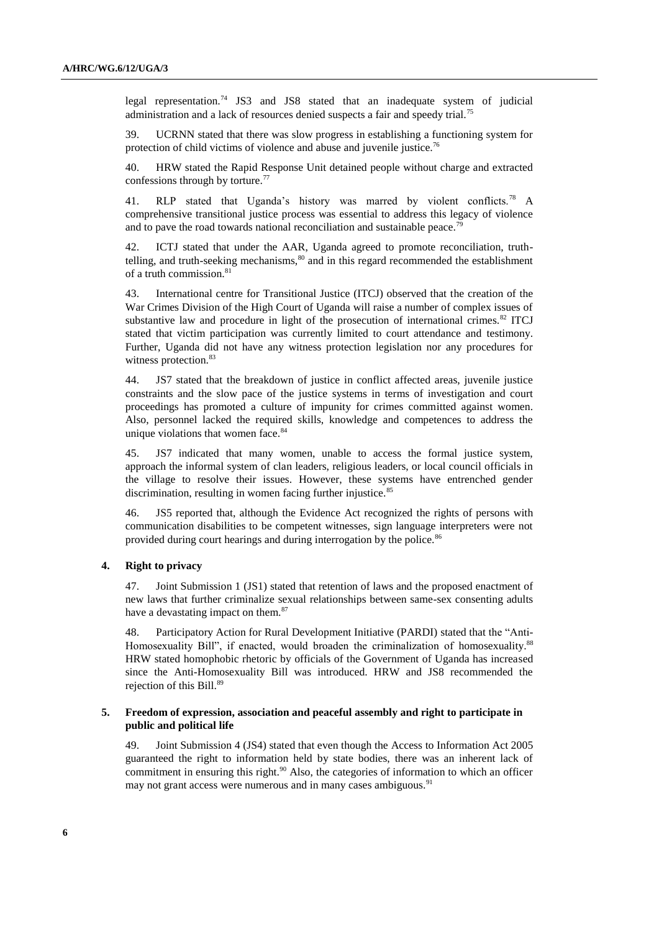legal representation.<sup>74</sup> JS3 and JS8 stated that an inadequate system of judicial administration and a lack of resources denied suspects a fair and speedy trial.<sup>75</sup>

39. UCRNN stated that there was slow progress in establishing a functioning system for protection of child victims of violence and abuse and juvenile justice.<sup>76</sup>

40. HRW stated the Rapid Response Unit detained people without charge and extracted confessions through by torture.<sup>77</sup>

41. RLP stated that Uganda's history was marred by violent conflicts.<sup>78</sup> A comprehensive transitional justice process was essential to address this legacy of violence and to pave the road towards national reconciliation and sustainable peace.<sup>79</sup>

42. ICTJ stated that under the AAR, Uganda agreed to promote reconciliation, truthtelling, and truth-seeking mechanisms, $80$  and in this regard recommended the establishment of a truth commission.<sup>81</sup>

43. International centre for Transitional Justice (ITCJ) observed that the creation of the War Crimes Division of the High Court of Uganda will raise a number of complex issues of substantive law and procedure in light of the prosecution of international crimes. $82$  ITCJ stated that victim participation was currently limited to court attendance and testimony. Further, Uganda did not have any witness protection legislation nor any procedures for witness protection.<sup>83</sup>

44. JS7 stated that the breakdown of justice in conflict affected areas, juvenile justice constraints and the slow pace of the justice systems in terms of investigation and court proceedings has promoted a culture of impunity for crimes committed against women. Also, personnel lacked the required skills, knowledge and competences to address the unique violations that women face.<sup>84</sup>

45. JS7 indicated that many women, unable to access the formal justice system, approach the informal system of clan leaders, religious leaders, or local council officials in the village to resolve their issues. However, these systems have entrenched gender discrimination, resulting in women facing further injustice.<sup>85</sup>

46. JS5 reported that, although the Evidence Act recognized the rights of persons with communication disabilities to be competent witnesses, sign language interpreters were not provided during court hearings and during interrogation by the police.<sup>86</sup>

## **4. Right to privacy**

47. Joint Submission 1 (JS1) stated that retention of laws and the proposed enactment of new laws that further criminalize sexual relationships between same-sex consenting adults have a devastating impact on them.<sup>87</sup>

48. Participatory Action for Rural Development Initiative (PARDI) stated that the "AntiHomosexuality Bill", if enacted, would broaden the criminalization of [homosexuality.](http://en.wikipedia.org/wiki/Homosexuality)<sup>88</sup> HRW stated homophobic rhetoric by officials of the Government of Uganda has increased since the Anti-Homosexuality Bill was introduced. HRW and JS8 recommended the rejection of this Bill.<sup>89</sup>

## **5. Freedom of expression, association and peaceful assembly and right to participate in public and political life**

49. Joint Submission 4 (JS4) stated that even though the Access to Information Act 2005 guaranteed the right to information held by state bodies, there was an inherent lack of commitment in ensuring this right.<sup>90</sup> Also, the categories of information to which an officer may not grant access were numerous and in many cases ambiguous.<sup>91</sup>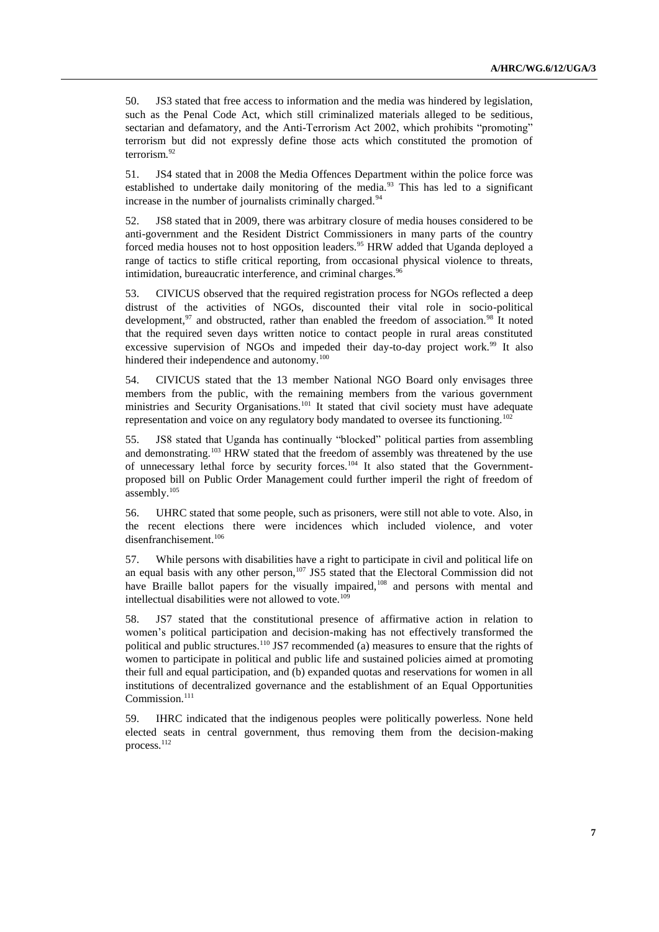50. JS3 stated that free access to information and the media was hindered by legislation, such as the Penal Code Act, which still criminalized materials alleged to be seditious, sectarian and defamatory, and the Anti-Terrorism Act 2002, which prohibits "promoting" terrorism but did not expressly define those acts which constituted the promotion of terrorism.<sup>92</sup>

51. JS4 stated that in 2008 the Media Offences Department within the police force was established to undertake daily monitoring of the media.<sup>93</sup> This has led to a significant increase in the number of journalists criminally charged.<sup>94</sup>

52. JS8 stated that in 2009, there was arbitrary closure of media houses considered to be anti-government and the Resident District Commissioners in many parts of the country forced media houses not to host opposition leaders.<sup>95</sup> HRW added that Uganda deployed a range of tactics to stifle critical reporting, from occasional physical violence to threats, intimidation, bureaucratic interference, and criminal charges.<sup>96</sup>

53. CIVICUS observed that the required registration process for NGOs reflected a deep distrust of the activities of NGOs, discounted their vital role in socio-political development,<sup>97</sup> and obstructed, rather than enabled the freedom of association.<sup>98</sup> It noted that the required seven days written notice to contact people in rural areas constituted excessive supervision of NGOs and impeded their day-to-day project work.<sup>99</sup> It also hindered their independence and autonomy.<sup>100</sup>

54. CIVICUS stated that the 13 member National NGO Board only envisages three members from the public, with the remaining members from the various government ministries and Security Organisations.<sup>101</sup> It stated that civil society must have adequate representation and voice on any regulatory body mandated to oversee its functioning.<sup>102</sup>

55. JS8 stated that Uganda has continually "blocked" political parties from assembling and demonstrating.<sup>103</sup> HRW stated that the freedom of assembly was threatened by the use of unnecessary lethal force by security forces.<sup>104</sup> It also stated that the Governmentproposed bill on Public Order Management could further imperil the right of freedom of assembly.<sup>105</sup>

56. UHRC stated that some people, such as prisoners, were still not able to vote. Also, in the recent elections there were incidences which included violence, and voter disenfranchisement.<sup>106</sup>

57. While persons with disabilities have a right to participate in civil and political life on an equal basis with any other person,<sup>107</sup> JS5 stated that the Electoral Commission did not have Braille ballot papers for the visually impaired,<sup>108</sup> and persons with mental and intellectual disabilities were not allowed to vote.<sup>109</sup>

58. JS7 stated that the constitutional presence of affirmative action in relation to women"s political participation and decision-making has not effectively transformed the political and public structures.<sup>110</sup> JS7 recommended (a) measures to ensure that the rights of women to participate in political and public life and sustained policies aimed at promoting their full and equal participation, and (b) expanded quotas and reservations for women in all institutions of decentralized governance and the establishment of an Equal Opportunities Commission.<sup>111</sup>

59. IHRC indicated that the indigenous peoples were politically powerless. None held elected seats in central government, thus removing them from the decision-making process.<sup>112</sup>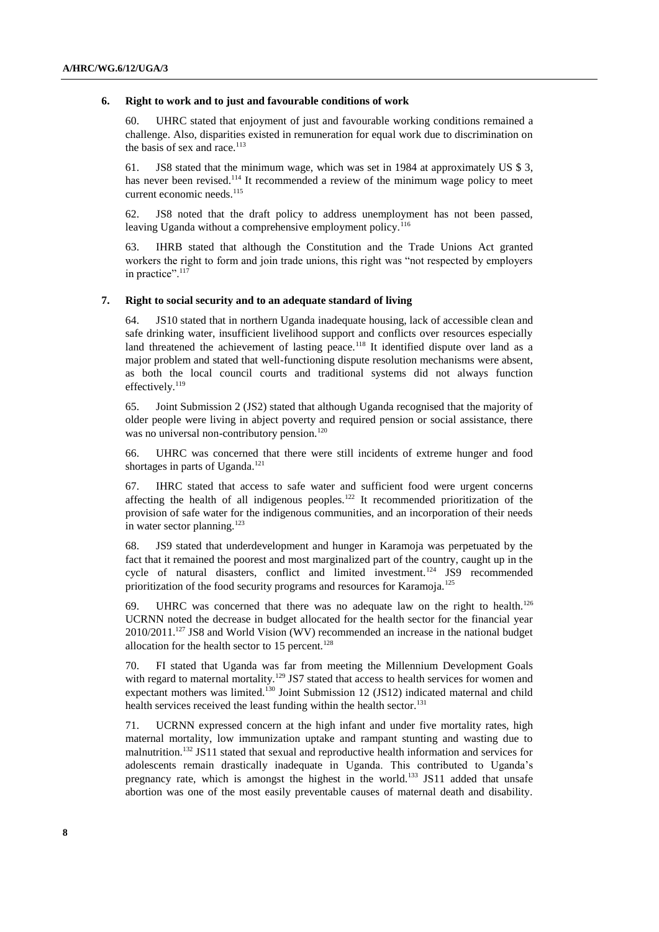#### **6. Right to work and to just and favourable conditions of work**

60. UHRC stated that enjoyment of just and favourable working conditions remained a challenge. Also, disparities existed in remuneration for equal work due to discrimination on the basis of sex and race.<sup>113</sup>

61. JS8 stated that the minimum wage, which was set in 1984 at approximately US \$ 3, has never been revised.<sup>114</sup> It recommended a review of the minimum wage policy to meet current economic needs.<sup>115</sup>

62. JS8 noted that the draft policy to address unemployment has not been passed, leaving Uganda without a comprehensive employment policy.<sup>116</sup>

63. IHRB stated that although the Constitution and the Trade Unions Act granted workers the right to form and join trade unions, this right was "not respected by employers in practice".<sup>117</sup>

#### **7. Right to social security and to an adequate standard of living**

64. JS10 stated that in northern Uganda inadequate housing, lack of accessible clean and safe drinking water, insufficient livelihood support and conflicts over resources especially land threatened the achievement of lasting peace.<sup>118</sup> It identified dispute over land as a major problem and stated that well-functioning dispute resolution mechanisms were absent, as both the local council courts and traditional systems did not always function effectively.<sup>119</sup>

65. Joint Submission 2 (JS2) stated that although Uganda recognised that the majority of older people were living in abject poverty and required pension or social assistance, there was no universal non-contributory pension.<sup>120</sup>

66. UHRC was concerned that there were still incidents of extreme hunger and food shortages in parts of Uganda.<sup>121</sup>

67. IHRC stated that access to safe water and sufficient food were urgent concerns affecting the health of all indigenous peoples.<sup>122</sup> It recommended prioritization of the provision of safe water for the indigenous communities, and an incorporation of their needs in water sector planning.<sup>123</sup>

68. JS9 stated that underdevelopment and hunger in Karamoja was perpetuated by the fact that it remained the poorest and most marginalized part of the country, caught up in the cycle of natural disasters, conflict and limited investment.<sup>124</sup> JS9 recommended prioritization of the food security programs and resources for Karamoja.<sup>125</sup>

69. UHRC was concerned that there was no adequate law on the right to health.<sup>126</sup> UCRNN noted the decrease in budget allocated for the health sector for the financial year 2010/2011.<sup>127</sup> JS8 and World Vision (WV) recommended an increase in the national budget allocation for the health sector to  $15$  percent.<sup>128</sup>

70. FI stated that Uganda was far from meeting the Millennium Development Goals with regard to maternal mortality.<sup>129</sup> JS7 stated that access to health services for women and expectant mothers was limited.<sup>130</sup> Joint Submission 12 (JS12) indicated maternal and child health services received the least funding within the health sector.<sup>131</sup>

71. UCRNN expressed concern at the high infant and under five mortality rates, high maternal mortality, low immunization uptake and rampant stunting and wasting due to malnutrition.<sup>132</sup> JS11 stated that sexual and reproductive health information and services for adolescents remain drastically inadequate in Uganda. This contributed to Uganda's pregnancy rate, which is amongst the highest in the world.<sup>133</sup> JS11 added that unsafe abortion was one of the most easily preventable causes of maternal death and disability.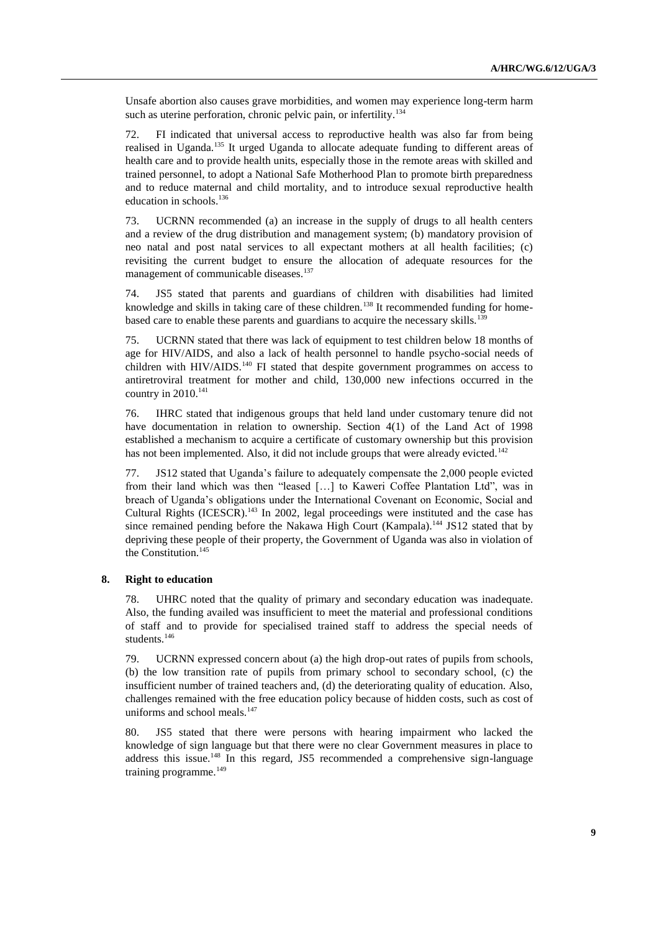Unsafe abortion also causes grave morbidities, and women may experience long-term harm such as uterine perforation, chronic pelvic pain, or infertility.<sup>134</sup>

72. FI indicated that universal access to reproductive health was also far from being realised in Uganda.<sup>135</sup> It urged Uganda to allocate adequate funding to different areas of health care and to provide health units, especially those in the remote areas with skilled and trained personnel, to adopt a National Safe Motherhood Plan to promote birth preparedness and to reduce maternal and child mortality, and to introduce sexual reproductive health education in schools.<sup>136</sup>

73. UCRNN recommended (a) an increase in the supply of drugs to all health centers and a review of the drug distribution and management system; (b) mandatory provision of neo natal and post natal services to all expectant mothers at all health facilities; (c) revisiting the current budget to ensure the allocation of adequate resources for the management of communicable diseases.<sup>137</sup>

74. JS5 stated that parents and guardians of children with disabilities had limited knowledge and skills in taking care of these children.<sup>138</sup> It recommended funding for homebased care to enable these parents and guardians to acquire the necessary skills.<sup>139</sup>

75. UCRNN stated that there was lack of equipment to test children below 18 months of age for HIV/AIDS, and also a lack of health personnel to handle psycho-social needs of children with  $HIV/ALDS$ <sup>140</sup> FI stated that despite government programmes on access to antiretroviral treatment for mother and child, 130,000 new infections occurred in the country in  $2010$ .<sup>141</sup>

76. IHRC stated that indigenous groups that held land under customary tenure did not have documentation in relation to ownership. Section 4(1) of the Land Act of 1998 established a mechanism to acquire a certificate of customary ownership but this provision has not been implemented. Also, it did not include groups that were already evicted. $142$ 

77. JS12 stated that Uganda"s failure to adequately compensate the 2,000 people evicted from their land which was then "leased […] to Kaweri Coffee Plantation Ltd", was in breach of Uganda"s obligations under the International Covenant on Economic, Social and Cultural Rights (ICESCR).<sup>143</sup> In 2002, legal proceedings were instituted and the case has since remained pending before the Nakawa High Court (Kampala).<sup>144</sup> JS12 stated that by depriving these people of their property, the Government of Uganda was also in violation of the Constitution.<sup>145</sup>

### **8. Right to education**

78. UHRC noted that the quality of primary and secondary education was inadequate. Also, the funding availed was insufficient to meet the material and professional conditions of staff and to provide for specialised trained staff to address the special needs of students.<sup>146</sup>

79. UCRNN expressed concern about (a) the high drop-out rates of pupils from schools, (b) the low transition rate of pupils from primary school to secondary school, (c) the insufficient number of trained teachers and, (d) the deteriorating quality of education. Also, challenges remained with the free education policy because of hidden costs, such as cost of uniforms and school meals.<sup>147</sup>

80. JS5 stated that there were persons with hearing impairment who lacked the knowledge of sign language but that there were no clear Government measures in place to address this issue.<sup>148</sup> In this regard, JS5 recommended a comprehensive sign-language training programme.<sup>149</sup>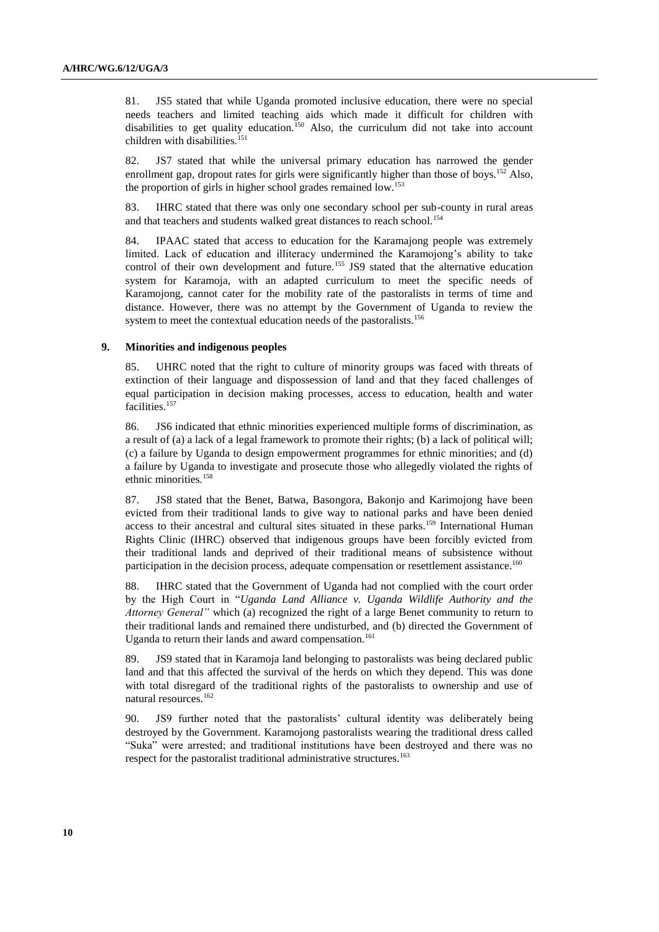81. JS5 stated that while Uganda promoted inclusive education, there were no special needs teachers and limited teaching aids which made it difficult for children with disabilities to get quality education.<sup>150</sup> Also, the curriculum did not take into account children with disabilities.<sup>151</sup>

82. JS7 stated that while the universal primary education has narrowed the gender enrollment gap, dropout rates for girls were significantly higher than those of boys.<sup>152</sup> Also, the proportion of girls in higher school grades remained low.<sup>153</sup>

83. IHRC stated that there was only one secondary school per sub-county in rural areas and that teachers and students walked great distances to reach school.<sup>154</sup>

84. IPAAC stated that access to education for the Karamajong people was extremely limited. Lack of education and illiteracy undermined the Karamojong"s ability to take control of their own development and future.<sup>155</sup> JS9 stated that the alternative education system for Karamoja, with an adapted curriculum to meet the specific needs of Karamojong, cannot cater for the mobility rate of the pastoralists in terms of time and distance. However, there was no attempt by the Government of Uganda to review the system to meet the contextual education needs of the pastoralists.<sup>156</sup>

#### **9. Minorities and indigenous peoples**

85. UHRC noted that the right to culture of minority groups was faced with threats of extinction of their language and dispossession of land and that they faced challenges of equal participation in decision making processes, access to education, health and water facilities.<sup>157</sup>

86. JS6 indicated that ethnic minorities experienced multiple forms of discrimination, as a result of (a) a lack of a legal framework to promote their rights; (b) a lack of political will; (c) a failure by Uganda to design empowerment programmes for ethnic minorities; and (d) a failure by Uganda to investigate and prosecute those who allegedly violated the rights of ethnic minorities.<sup>158</sup>

87. JS8 stated that the Benet, Batwa, Basongora, Bakonjo and Karimojong have been evicted from their traditional lands to give way to national parks and have been denied access to their ancestral and cultural sites situated in these parks.<sup>159</sup> International Human Rights Clinic (IHRC) observed that indigenous groups have been forcibly evicted from their traditional lands and deprived of their traditional means of subsistence without participation in the decision process, adequate compensation or resettlement assistance.<sup>160</sup>

88. IHRC stated that the Government of Uganda had not complied with the court order by the High Court in "*Uganda Land Alliance v. Uganda Wildlife Authority and the Attorney General"* which (a) recognized the right of a large Benet community to return to their traditional lands and remained there undisturbed, and (b) directed the Government of Uganda to return their lands and award compensation.<sup>161</sup>

89. JS9 stated that in Karamoja land belonging to pastoralists was being declared public land and that this affected the survival of the herds on which they depend. This was done with total disregard of the traditional rights of the pastoralists to ownership and use of natural resources.<sup>162</sup>

90. JS9 further noted that the pastoralists' cultural identity was deliberately being destroyed by the Government. Karamojong pastoralists wearing the traditional dress called "Suka" were arrested; and traditional institutions have been destroyed and there was no respect for the pastoralist traditional administrative structures.<sup>163</sup>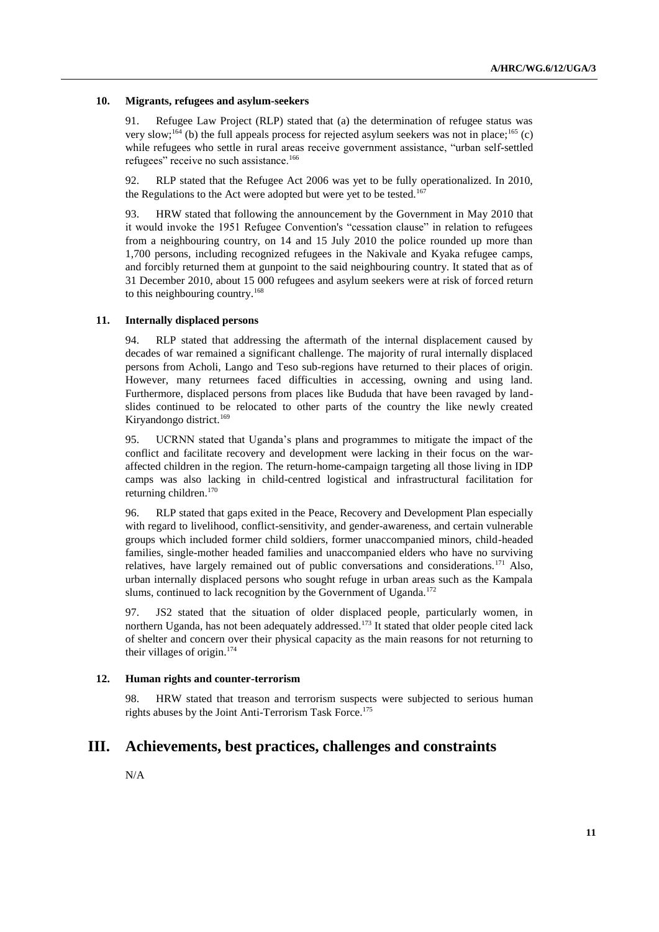#### **10. Migrants, refugees and asylum-seekers**

91. Refugee Law Project (RLP) stated that (a) the determination of refugee status was very slow;<sup>164</sup> (b) the full appeals process for rejected asylum seekers was not in place;<sup>165</sup> (c) while refugees who settle in rural areas receive government assistance, "urban self-settled refugees" receive no such assistance.<sup>166</sup>

92. RLP stated that the Refugee Act 2006 was yet to be fully operationalized. In 2010, the Regulations to the Act were adopted but were yet to be tested.<sup>167</sup>

93. HRW stated that following the announcement by the Government in May 2010 that it would invoke the 1951 Refugee Convention's "cessation clause" in relation to refugees from a neighbouring country, on 14 and 15 July 2010 the police rounded up more than 1,700 persons, including recognized refugees in the Nakivale and Kyaka refugee camps, and forcibly returned them at gunpoint to the said neighbouring country. It stated that as of 31 December 2010, about 15 000 refugees and asylum seekers were at risk of forced return to this neighbouring country.<sup>168</sup>

### **11. Internally displaced persons**

94. RLP stated that addressing the aftermath of the internal displacement caused by decades of war remained a significant challenge. The majority of rural internally displaced persons from Acholi, Lango and Teso sub-regions have returned to their places of origin. However, many returnees faced difficulties in accessing, owning and using land. Furthermore, displaced persons from places like Bududa that have been ravaged by landslides continued to be relocated to other parts of the country the like newly created Kiryandongo district.<sup>169</sup>

95. UCRNN stated that Uganda"s plans and programmes to mitigate the impact of the conflict and facilitate recovery and development were lacking in their focus on the waraffected children in the region. The return-home-campaign targeting all those living in IDP camps was also lacking in child-centred logistical and infrastructural facilitation for returning children.<sup>170</sup>

96. RLP stated that gaps exited in the Peace, Recovery and Development Plan especially with regard to livelihood, conflict-sensitivity, and gender-awareness, and certain vulnerable groups which included former child soldiers, former unaccompanied minors, child-headed families, single-mother headed families and unaccompanied elders who have no surviving relatives, have largely remained out of public conversations and considerations.<sup>171</sup> Also, urban internally displaced persons who sought refuge in urban areas such as the Kampala slums, continued to lack recognition by the Government of Uganda.<sup>172</sup>

97. JS2 stated that the situation of older displaced people, particularly women, in northern Uganda, has not been adequately addressed.<sup>173</sup> It stated that older people cited lack of shelter and concern over their physical capacity as the main reasons for not returning to their villages of origin. $174$ 

### **12. Human rights and counter-terrorism**

98. HRW stated that treason and terrorism suspects were subjected to serious human rights abuses by the Joint Anti-Terrorism Task Force.<sup>175</sup>

## **III. Achievements, best practices, challenges and constraints**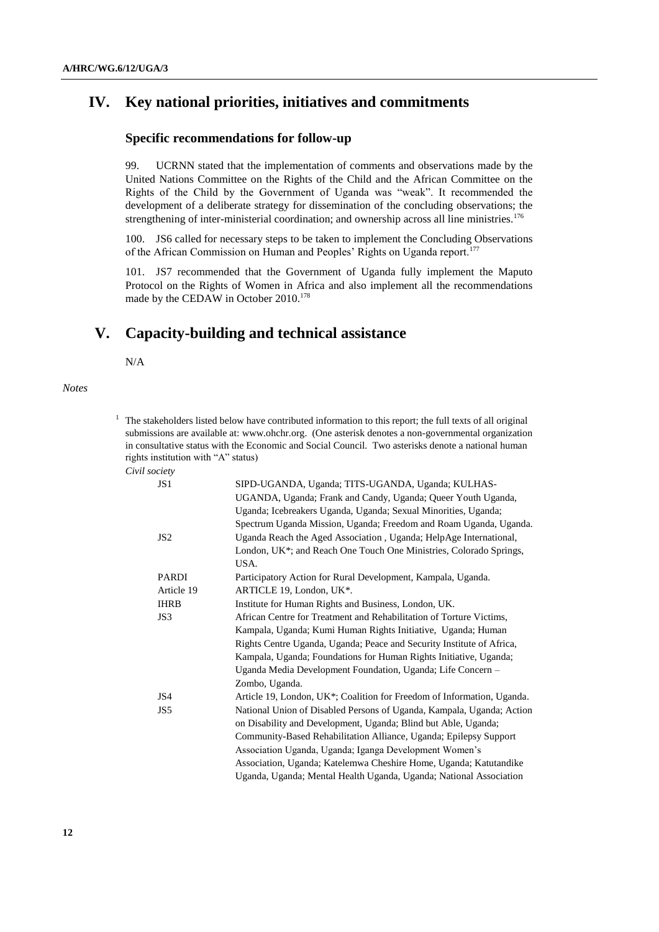# **IV. Key national priorities, initiatives and commitments**

## **Specific recommendations for follow-up**

99. UCRNN stated that the implementation of comments and observations made by the United Nations Committee on the Rights of the Child and the African Committee on the Rights of the Child by the Government of Uganda was "weak". It recommended the development of a deliberate strategy for dissemination of the concluding observations; the strengthening of inter-ministerial coordination; and ownership across all line ministries.<sup>176</sup>

100. JS6 called for necessary steps to be taken to implement the Concluding Observations of the African Commission on Human and Peoples' Rights on Uganda report.<sup>177</sup>

101. JS7 recommended that the Government of Uganda fully implement the Maputo Protocol on the Rights of Women in Africa and also implement all the recommendations made by the CEDAW in October 2010.<sup>178</sup>

## **V. Capacity-building and technical assistance**

N/A

*Notes*

 $1$  The stakeholders listed below have contributed information to this report; the full texts of all original submissions are available at: [www.ohchr.org.](http://www.ohchr.org/) (One asterisk denotes a non-governmental organization in consultative status with the Economic and Social Council. Two asterisks denote a national human rights institution with "A" status)

| Civil society |
|---------------|
|               |

| JS <sub>1</sub> | SIPD-UGANDA, Uganda; TITS-UGANDA, Uganda; KULHAS-                      |
|-----------------|------------------------------------------------------------------------|
|                 | UGANDA, Uganda; Frank and Candy, Uganda; Queer Youth Uganda,           |
|                 | Uganda; Icebreakers Uganda, Uganda; Sexual Minorities, Uganda;         |
|                 | Spectrum Uganda Mission, Uganda; Freedom and Roam Uganda, Uganda.      |
| JS2             | Uganda Reach the Aged Association, Uganda; HelpAge International,      |
|                 | London, UK*; and Reach One Touch One Ministries, Colorado Springs,     |
|                 | USA.                                                                   |
| <b>PARDI</b>    | Participatory Action for Rural Development, Kampala, Uganda.           |
| Article 19      | ARTICLE 19, London, UK*.                                               |
| <b>IHRB</b>     | Institute for Human Rights and Business, London, UK.                   |
| JS3             | African Centre for Treatment and Rehabilitation of Torture Victims,    |
|                 | Kampala, Uganda; Kumi Human Rights Initiative, Uganda; Human           |
|                 | Rights Centre Uganda, Uganda; Peace and Security Institute of Africa,  |
|                 | Kampala, Uganda; Foundations for Human Rights Initiative, Uganda;      |
|                 | Uganda Media Development Foundation, Uganda; Life Concern -            |
|                 | Zombo, Uganda.                                                         |
| JS4             | Article 19, London, UK*; Coalition for Freedom of Information, Uganda. |
| JS5             | National Union of Disabled Persons of Uganda, Kampala, Uganda; Action  |
|                 | on Disability and Development, Uganda; Blind but Able, Uganda;         |
|                 | Community-Based Rehabilitation Alliance, Uganda; Epilepsy Support      |
|                 | Association Uganda, Uganda; Iganga Development Women's                 |
|                 | Association, Uganda; Katelemwa Cheshire Home, Uganda; Katutandike      |
|                 | Uganda, Uganda; Mental Health Uganda, Uganda; National Association     |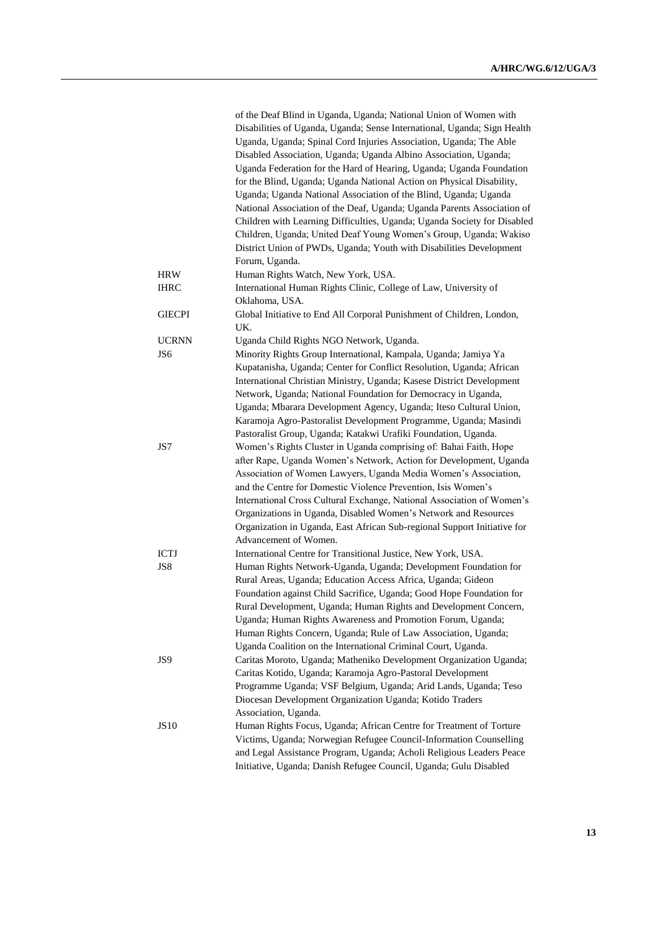|                 | of the Deaf Blind in Uganda, Uganda; National Union of Women with<br>Disabilities of Uganda, Uganda; Sense International, Uganda; Sign Health<br>Uganda, Uganda; Spinal Cord Injuries Association, Uganda; The Able<br>Disabled Association, Uganda; Uganda Albino Association, Uganda;<br>Uganda Federation for the Hard of Hearing, Uganda; Uganda Foundation<br>for the Blind, Uganda; Uganda National Action on Physical Disability,<br>Uganda; Uganda National Association of the Blind, Uganda; Uganda<br>National Association of the Deaf, Uganda; Uganda Parents Association of<br>Children with Learning Difficulties, Uganda; Uganda Society for Disabled<br>Children, Uganda; United Deaf Young Women's Group, Uganda; Wakiso<br>District Union of PWDs, Uganda; Youth with Disabilities Development<br>Forum, Uganda. |
|-----------------|-----------------------------------------------------------------------------------------------------------------------------------------------------------------------------------------------------------------------------------------------------------------------------------------------------------------------------------------------------------------------------------------------------------------------------------------------------------------------------------------------------------------------------------------------------------------------------------------------------------------------------------------------------------------------------------------------------------------------------------------------------------------------------------------------------------------------------------|
| <b>HRW</b>      | Human Rights Watch, New York, USA.                                                                                                                                                                                                                                                                                                                                                                                                                                                                                                                                                                                                                                                                                                                                                                                                |
| <b>IHRC</b>     | International Human Rights Clinic, College of Law, University of<br>Oklahoma, USA.                                                                                                                                                                                                                                                                                                                                                                                                                                                                                                                                                                                                                                                                                                                                                |
| <b>GIECPI</b>   | Global Initiative to End All Corporal Punishment of Children, London,<br>UK.                                                                                                                                                                                                                                                                                                                                                                                                                                                                                                                                                                                                                                                                                                                                                      |
| <b>UCRNN</b>    | Uganda Child Rights NGO Network, Uganda.                                                                                                                                                                                                                                                                                                                                                                                                                                                                                                                                                                                                                                                                                                                                                                                          |
| JS <sub>6</sub> | Minority Rights Group International, Kampala, Uganda; Jamiya Ya<br>Kupatanisha, Uganda; Center for Conflict Resolution, Uganda; African<br>International Christian Ministry, Uganda; Kasese District Development<br>Network, Uganda; National Foundation for Democracy in Uganda,<br>Uganda; Mbarara Development Agency, Uganda; Iteso Cultural Union,<br>Karamoja Agro-Pastoralist Development Programme, Uganda; Masindi<br>Pastoralist Group, Uganda; Katakwi Urafiki Foundation, Uganda.                                                                                                                                                                                                                                                                                                                                      |
| JS7             | Women's Rights Cluster in Uganda comprising of: Bahai Faith, Hope<br>after Rape, Uganda Women's Network, Action for Development, Uganda<br>Association of Women Lawyers, Uganda Media Women's Association,<br>and the Centre for Domestic Violence Prevention, Isis Women's<br>International Cross Cultural Exchange, National Association of Women's<br>Organizations in Uganda, Disabled Women's Network and Resources<br>Organization in Uganda, East African Sub-regional Support Initiative for<br>Advancement of Women.                                                                                                                                                                                                                                                                                                     |
| <b>ICTJ</b>     | International Centre for Transitional Justice, New York, USA.                                                                                                                                                                                                                                                                                                                                                                                                                                                                                                                                                                                                                                                                                                                                                                     |
| JS8             | Human Rights Network-Uganda, Uganda; Development Foundation for<br>Rural Areas, Uganda; Education Access Africa, Uganda; Gideon<br>Foundation against Child Sacrifice, Uganda; Good Hope Foundation for<br>Rural Development, Uganda; Human Rights and Development Concern,<br>Uganda; Human Rights Awareness and Promotion Forum, Uganda;<br>Human Rights Concern, Uganda; Rule of Law Association, Uganda;<br>Uganda Coalition on the International Criminal Court, Uganda.                                                                                                                                                                                                                                                                                                                                                     |
| JS9             | Caritas Moroto, Uganda; Matheniko Development Organization Uganda;<br>Caritas Kotido, Uganda; Karamoja Agro-Pastoral Development<br>Programme Uganda; VSF Belgium, Uganda; Arid Lands, Uganda; Teso<br>Diocesan Development Organization Uganda; Kotido Traders<br>Association, Uganda.                                                                                                                                                                                                                                                                                                                                                                                                                                                                                                                                           |
| JS10            | Human Rights Focus, Uganda; African Centre for Treatment of Torture<br>Victims, Uganda; Norwegian Refugee Council-Information Counselling<br>and Legal Assistance Program, Uganda; Acholi Religious Leaders Peace<br>Initiative, Uganda; Danish Refugee Council, Uganda; Gulu Disabled                                                                                                                                                                                                                                                                                                                                                                                                                                                                                                                                            |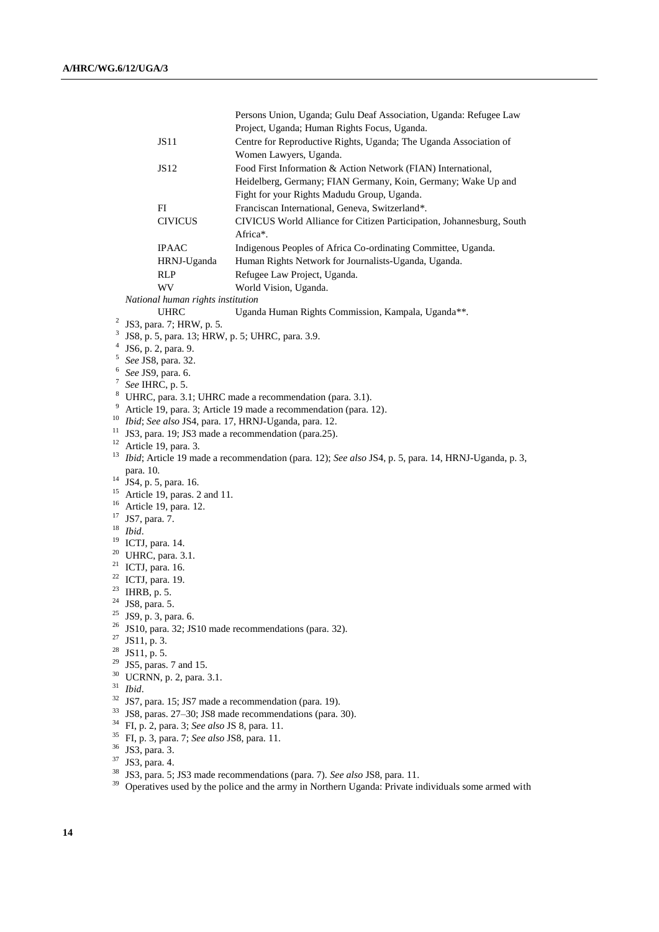|                |                                                                                                                           |                                   | Persons Union, Uganda; Gulu Deaf Association, Uganda: Refugee Law                                   |  |
|----------------|---------------------------------------------------------------------------------------------------------------------------|-----------------------------------|-----------------------------------------------------------------------------------------------------|--|
|                |                                                                                                                           |                                   | Project, Uganda; Human Rights Focus, Uganda.                                                        |  |
|                |                                                                                                                           | JS11                              | Centre for Reproductive Rights, Uganda; The Uganda Association of                                   |  |
|                |                                                                                                                           |                                   | Women Lawyers, Uganda.                                                                              |  |
|                |                                                                                                                           | JS12                              | Food First Information & Action Network (FIAN) International,                                       |  |
|                |                                                                                                                           |                                   | Heidelberg, Germany; FIAN Germany, Koin, Germany; Wake Up and                                       |  |
|                |                                                                                                                           |                                   |                                                                                                     |  |
|                |                                                                                                                           |                                   | Fight for your Rights Madudu Group, Uganda.                                                         |  |
|                |                                                                                                                           | FI                                | Franciscan International, Geneva, Switzerland*.                                                     |  |
|                |                                                                                                                           | <b>CIVICUS</b>                    | CIVICUS World Alliance for Citizen Participation, Johannesburg, South<br>Africa*.                   |  |
|                |                                                                                                                           | <b>IPAAC</b>                      | Indigenous Peoples of Africa Co-ordinating Committee, Uganda.                                       |  |
|                |                                                                                                                           | HRNJ-Uganda                       | Human Rights Network for Journalists-Uganda, Uganda.                                                |  |
|                |                                                                                                                           | <b>RLP</b>                        | Refugee Law Project, Uganda.                                                                        |  |
|                |                                                                                                                           | WV                                | World Vision, Uganda.                                                                               |  |
|                |                                                                                                                           | National human rights institution |                                                                                                     |  |
|                |                                                                                                                           | <b>UHRC</b>                       | Uganda Human Rights Commission, Kampala, Uganda**.                                                  |  |
| $\overline{c}$ |                                                                                                                           | JS3, para. 7; HRW, p. 5.          |                                                                                                     |  |
| 3              |                                                                                                                           |                                   |                                                                                                     |  |
| 4              |                                                                                                                           | JS6, p. 2, para. 9.               | JS8, p. 5, para. 13; HRW, p. 5; UHRC, para. 3.9.                                                    |  |
| 5              |                                                                                                                           | See JS8, para. 32.                |                                                                                                     |  |
| 6              |                                                                                                                           |                                   |                                                                                                     |  |
| 7              | See JS9, para. 6.                                                                                                         |                                   |                                                                                                     |  |
|                | See IHRC, p. 5.                                                                                                           |                                   |                                                                                                     |  |
| 9              | <sup>8</sup> UHRC, para. 3.1; UHRC made a recommendation (para. 3.1).                                                     |                                   |                                                                                                     |  |
| 10             | Article 19, para. 3; Article 19 made a recommendation (para. 12).<br>Ibid; See also JS4, para. 17, HRNJ-Uganda, para. 12. |                                   |                                                                                                     |  |
| 11             |                                                                                                                           |                                   | JS3, para. 19; JS3 made a recommendation (para.25).                                                 |  |
| 12             |                                                                                                                           | Article 19, para. 3.              |                                                                                                     |  |
| 13             |                                                                                                                           |                                   | Ibid; Article 19 made a recommendation (para. 12); See also JS4, p. 5, para. 14, HRNJ-Uganda, p. 3, |  |
|                | para. 10.                                                                                                                 |                                   |                                                                                                     |  |
| 14             |                                                                                                                           |                                   |                                                                                                     |  |
| 15             | JS4, p. 5, para. 16.                                                                                                      |                                   |                                                                                                     |  |
| 16             | Article 19, paras. 2 and 11.<br>Article 19, para. 12.                                                                     |                                   |                                                                                                     |  |
| 17             | JS7, para. 7.                                                                                                             |                                   |                                                                                                     |  |
| 18             | Ibid.                                                                                                                     |                                   |                                                                                                     |  |
| 19             | ICTJ, para. 14.                                                                                                           |                                   |                                                                                                     |  |
| 20             |                                                                                                                           | UHRC, para. 3.1.                  |                                                                                                     |  |
| 21             |                                                                                                                           | ICTJ, para. 16.                   |                                                                                                     |  |
| 22             | ICTJ, para. 19.                                                                                                           |                                   |                                                                                                     |  |
| 23             | IHRB, p. 5.                                                                                                               |                                   |                                                                                                     |  |
| 24             | JS8, para. 5.                                                                                                             |                                   |                                                                                                     |  |
| 25             |                                                                                                                           |                                   |                                                                                                     |  |
| 26             | JS9, p. 3, para. 6.<br>JS10, para. 32; JS10 made recommendations (para. 32).                                              |                                   |                                                                                                     |  |
| 27             | JS11, p. 3.                                                                                                               |                                   |                                                                                                     |  |
| 28             | JS11, p. 5.                                                                                                               |                                   |                                                                                                     |  |
| 29             | JS5, paras. 7 and 15.                                                                                                     |                                   |                                                                                                     |  |
| 30             | UCRNN, p. 2, para. 3.1.                                                                                                   |                                   |                                                                                                     |  |
| 31             | Ibid.                                                                                                                     |                                   |                                                                                                     |  |
| 32             |                                                                                                                           |                                   | JS7, para. 15; JS7 made a recommendation (para. 19).                                                |  |
| 33             |                                                                                                                           |                                   | JS8, paras. 27-30; JS8 made recommendations (para. 30).                                             |  |
| 34             | FI, p. 2, para. 3; See also JS 8, para. 11.                                                                               |                                   |                                                                                                     |  |
| 35             | FI, p. 3, para. 7; See also JS8, para. 11.                                                                                |                                   |                                                                                                     |  |
| 36             | JS3, para. 3.                                                                                                             |                                   |                                                                                                     |  |
| 37             | JS3, para. 4.                                                                                                             |                                   |                                                                                                     |  |
| 38             | JS3, para. 5; JS3 made recommendations (para. 7). See also JS8, para. 11.                                                 |                                   |                                                                                                     |  |
| 39             |                                                                                                                           |                                   | Operatives used by the police and the army in Northern Uganda: Private individuals some armed with  |  |
|                |                                                                                                                           |                                   |                                                                                                     |  |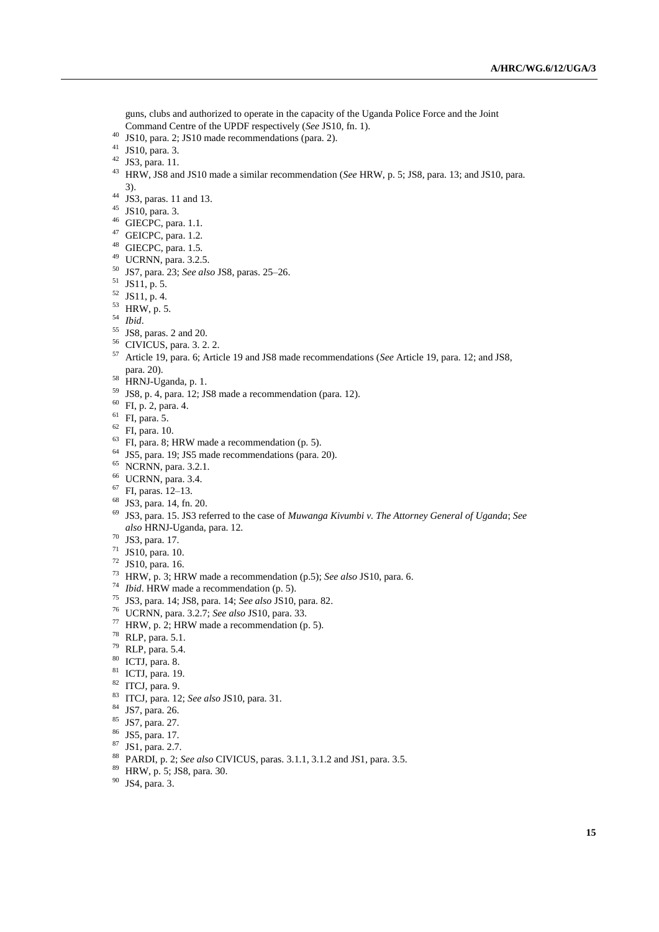guns, clubs and authorized to operate in the capacity of the Uganda Police Force and the Joint Command Centre of the UPDF respectively (*See* JS10, fn. 1).

- JS10, para. 2; JS10 made recommendations (para. 2).
- JS10, para. 3.
- $42 \text{ JS3, para. } 11.$
- HRW, JS8 and JS10 made a similar recommendation (*See* HRW, p. 5; JS8, para. 13; and JS10, para. 3).
- JS3, paras. 11 and 13.
- JS10, para. 3.
- GIECPC, para. 1.1.
- GEICPC, para. 1.2.
- GIECPC, para. 1.5.
- UCRNN, para. 3.2.5.
- JS7, para. 23; *See also* JS8, paras. 25–26.
- JS11, p. 5.
- JS11, p. 4.
- HRW, p. 5.
- *Ibid*.
- JS8, paras. 2 and 20.
- CIVICUS, para. 3. 2. 2.
- Article 19, para. 6; Article 19 and JS8 made recommendations (*See* Article 19, para. 12; and JS8, para. 20).
- HRNJ-Uganda, p. 1.
- JS8, p. 4, para. 12; JS8 made a recommendation (para. 12).
- FI, p. 2, para. 4.
- FI, para. 5.
- FI, para. 10.
- FI, para. 8; HRW made a recommendation (p. 5).
- <sup>64</sup> JS5, para. 19; JS5 made recommendations (para. 20).<br><sup>65</sup> NCRNN para. 3.2.1
- NCRNN, para. 3.2.1.
- UCRNN, para. 3.4.
- FI, paras. 12–13.
- JS3, para. 14, fn. 20.
- JS3, para. 15. JS3 referred to the case of *Muwanga Kivumbi v. The Attorney General of Uganda*; *See also* HRNJ-Uganda, para. 12.
- JS3, para. 17.
- JS10, para. 10.
- JS10, para. 16.
- HRW, p. 3; HRW made a recommendation (p.5); *See also* JS10, para. 6.
- *Ibid*. HRW made a recommendation (p. 5).
- JS3, para. 14; JS8, para. 14; *See also* JS10, para. 82.
- UCRNN, para. 3.2.7; *See also* JS10, para. 33.
- <sup>77</sup> HRW, p. 2; HRW made a recommendation (p. 5).
- RLP, para. 5.1.
- RLP, para. 5.4.
- ICTJ, para. 8.
- ICTJ, para. 19.
- ITCJ, para. 9.
- ITCJ, para. 12; *See also* JS10, para. 31.
- JS7, para. 26.
- JS7, para. 27.
- JS5, para. 17.
- JS1, para. 2.7.
- PARDI, p. 2; *See also* CIVICUS, paras. 3.1.1, 3.1.2 and JS1, para. 3.5.
- HRW, p. 5; JS8, para. 30.
- JS4, para. 3.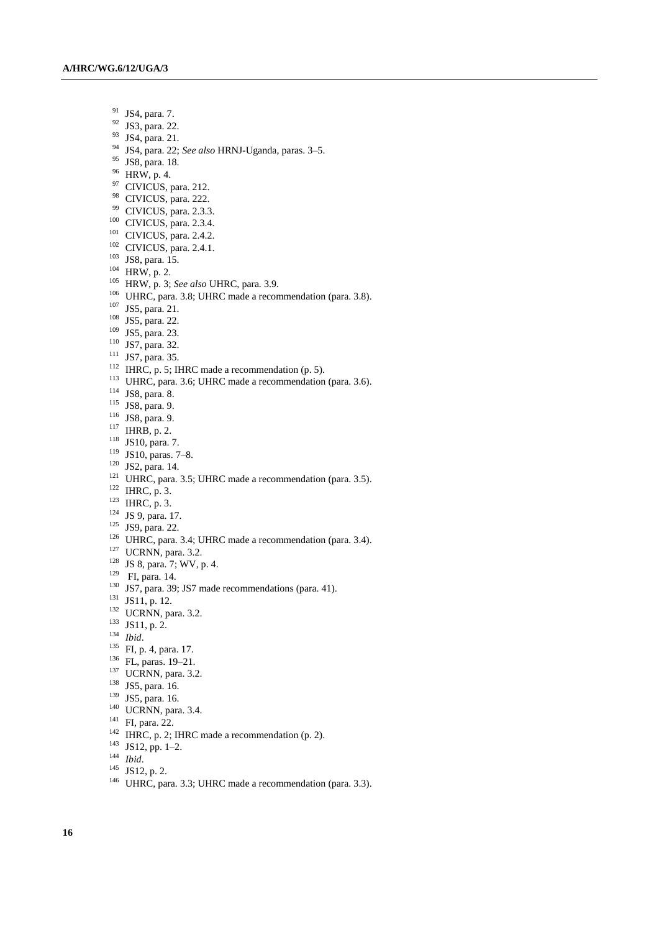- $^{91}$  JS4, para. 7.<br> $^{92}$  JS3, para. 22
- JS3, para. 22.
- <sup>93</sup> JS4, para. 21.
- <sup>94</sup> JS4, para. 22; *See also* HRNJ-Uganda, paras. 3–5.
- <sup>95</sup> JS8, para. 18.
- <sup>96</sup> HRW, p. 4.
- <sup>97</sup> CIVICUS, para. 212.
- <sup>98</sup> CIVICUS, para. 222.
- <sup>99</sup> CIVICUS, para. 2.3.3.
- <sup>100</sup> CIVICUS, para. 2.3.4.
- <sup>101</sup> CIVICUS, para. 2.4.2.
- <sup>102</sup> CIVICUS, para. 2.4.1.
- <sup>103</sup> JS8, para. 15.
- <sup>104</sup> HRW, p. 2.
- <sup>105</sup> HRW, p. 3; *See also* UHRC, para. 3.9.
- <sup>106</sup> UHRC, para. 3.8; UHRC made a recommendation (para. 3.8).
- <sup>107</sup> JS5, para. 21.
- <sup>108</sup> JS5, para. 22.
- <sup>109</sup> JS5, para. 23.
- <sup>110</sup> JS7, para. 32.
- <sup>111</sup> JS7, para. 35.
- 
- <sup>112</sup> IHRC, p. 5; IHRC made a recommendation (p. 5).
- <sup>113</sup> UHRC, para. 3.6; UHRC made a recommendation (para. 3.6).
- <sup>114</sup> JS8, para. 8.
- <sup>115</sup> JS8, para. 9.
- <sup>116</sup> JS8, para. 9.
- <sup>117</sup> IHRB, p. 2.
- <sup>118</sup> JS10, para. 7.
- <sup>119</sup> JS10, paras. 7–8.
- $120$  JS2, para. 14.
- <sup>121</sup> UHRC, para. 3.5; UHRC made a recommendation (para. 3.5).
- $122$  IHRC, p. 3.
- <sup>123</sup> IHRC, p. 3.
- $124$  JS 9, para. 17.
- <sup>125</sup> JS9, para. 22.
- <sup>126</sup> UHRC, para. 3.4; UHRC made a recommendation (para. 3.4).
- <sup>127</sup> UCRNN, para. 3.2.
- <sup>128</sup> JS 8, para. 7; WV, p. 4.
- <sup>129</sup> FI, para. 14.
- <sup>130</sup> JS7, para. 39; JS7 made recommendations (para. 41).
- <sup>131</sup> JS11, p. 12.
- <sup>132</sup> UCRNN, para. 3.2.
- <sup>133</sup> JS11, p. 2.
- <sup>134</sup> *Ibid*.
- 
- <sup>135</sup> FI, p. 4, para. 17.
- <sup>136</sup> FL, paras. 19–21.
- <sup>137</sup> UCRNN, para. 3.2.
- <sup>138</sup> JS5, para. 16.
- <sup>139</sup> JS5, para. 16.
- <sup>140</sup> UCRNN, para. 3.4.
- <sup>141</sup> FI, para. 22.
- <sup>142</sup> IHRC, p. 2; IHRC made a recommendation (p. 2).
- <sup>143</sup> JS12, pp. 1–2.
- <sup>144</sup> *Ibid*.
- $145$  JS12, p. 2.
- <sup>146</sup> UHRC, para. 3.3; UHRC made a recommendation (para. 3.3).